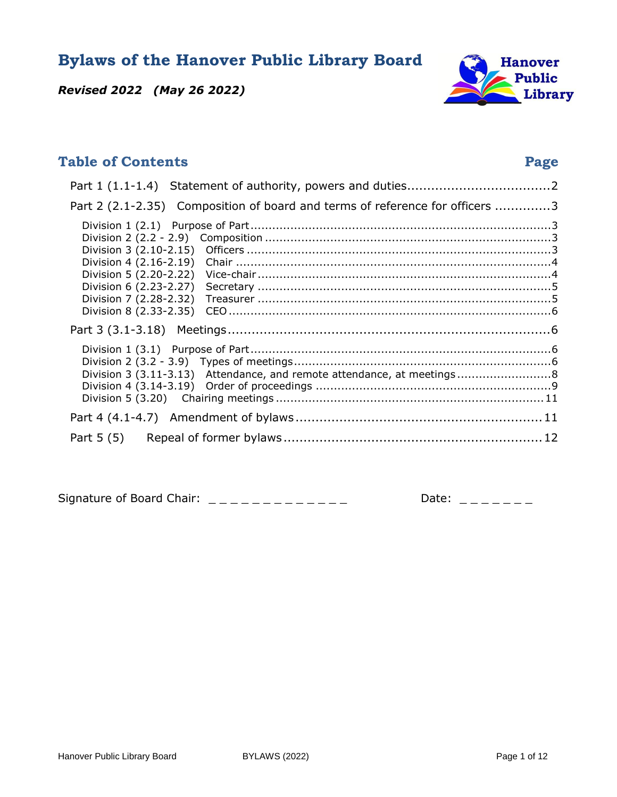**Bylaws of the Hanover Public Library Board** 



*Revised 2022 (May 26 2022)*

# **Table of Contents** Page **Page 2014** Part 1 (1.1-1.4) [Statement of authority, powers and duties.................................... 2](#page-1-0) Part 2 (2.1-2.35) Composition of board and terms of reference for officers ..............3 Division 1 (2.1) [Purpose of Part ................................................................................... 3](#page-2-1) Division 2 (2.2 - 2.9) [Composition ............................................................................... 3](#page-2-2) Division 3 (2.10-2.15) [Officers .................................................................................... 3](#page-2-3) Division 4 (2.16-2.19) [Chair ....................................................................................... 4](#page-3-0) Division 5 (2.20-2.22) [Vice-chair ................................................................................. 4](#page-3-1) Division 6 (2.23-2.27) [Secretary ................................................................................. 5](#page-4-0) Division 7 (2.28-2.32) [Treasurer ................................................................................. 5](#page-4-1) Division 8 (2.33-2.35) [CEO ......................................................................................... 6](#page-5-0) Part 3 (3.1-3.18) [Meetings ................................................................................. 6](#page-5-1) Division 1 (3.1) [Purpose of Part ................................................................................... 6](#page-5-2) Division 2 (3.2 - 3.9) [Types of meetings ....................................................................... 6](#page-5-3) Division 3 (3.11-3.13) [Attendance, and remote attendance, at meetings .......................... 8](#page-7-0) Division 4 (3.14-3.19) [Order of proceedings ................................................................. 9](#page-8-0) [Division 5 \(3.20\) Chairing meetings ..........................................................................11](#page-10-0) Part 4 (4.1-4.7) [Amendment of bylaws ..............................................................11](#page-10-1) Part 5 (5) [Repeal of former bylaws ................................................................. 12](#page-11-0)

Signature of Board Chair:  $\angle 26$  May 2022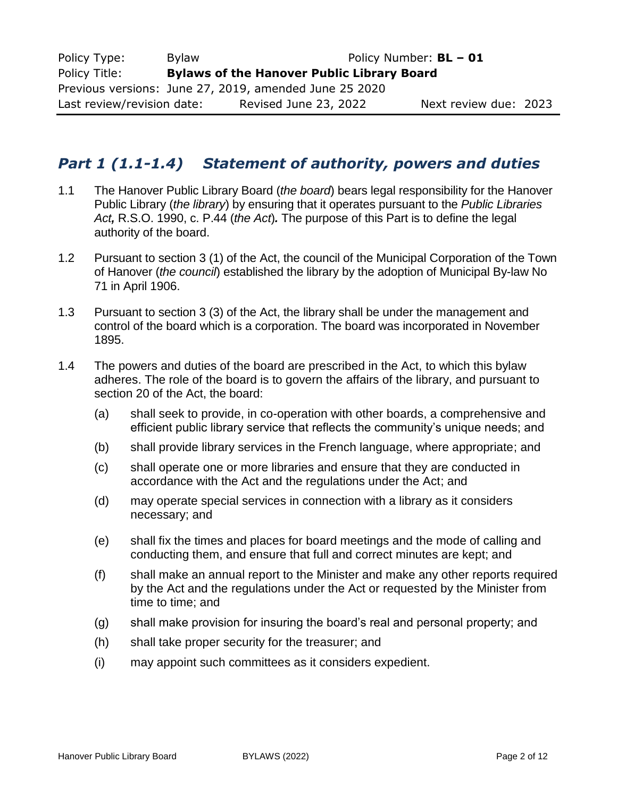| Policy Type:                                           | Policy Number: <b>BL - 01</b><br><b>Bylaw</b>     |                       |                       |  |
|--------------------------------------------------------|---------------------------------------------------|-----------------------|-----------------------|--|
| Policy Title:                                          | <b>Bylaws of the Hanover Public Library Board</b> |                       |                       |  |
| Previous versions: June 27, 2019, amended June 25 2020 |                                                   |                       |                       |  |
| Last review/revision date:                             |                                                   | Revised June 23, 2022 | Next review due: 2023 |  |

# <span id="page-1-0"></span>*Part 1 (1.1-1.4) Statement of authority, powers and duties*

- 1.1 The Hanover Public Library Board (*the board*) bears legal responsibility for the Hanover Public Library (*the library*) by ensuring that it operates pursuant to the *Public Libraries Act,* R.S.O. 1990, c. P.44 (*the Act*)*.* The purpose of this Part is to define the legal authority of the board.
- 1.2 Pursuant to section 3 (1) of the Act, the council of the Municipal Corporation of the Town of Hanover (*the council*) established the library by the adoption of Municipal By-law No 71 in April 1906.
- 1.3 Pursuant to section 3 (3) of the Act, the library shall be under the management and control of the board which is a corporation. The board was incorporated in November 1895.
- 1.4 The powers and duties of the board are prescribed in the Act, to which this bylaw adheres. The role of the board is to govern the affairs of the library, and pursuant to section 20 of the Act, the board:
	- (a) shall seek to provide, in co-operation with other boards, a comprehensive and efficient public library service that reflects the community's unique needs; and
	- (b) shall provide library services in the French language, where appropriate; and
	- (c) shall operate one or more libraries and ensure that they are conducted in accordance with the Act and the regulations under the Act; and
	- (d) may operate special services in connection with a library as it considers necessary; and
	- (e) shall fix the times and places for board meetings and the mode of calling and conducting them, and ensure that full and correct minutes are kept; and
	- (f) shall make an annual report to the Minister and make any other reports required by the Act and the regulations under the Act or requested by the Minister from time to time; and
	- (g) shall make provision for insuring the board's real and personal property; and
	- (h) shall take proper security for the treasurer; and
	- (i) may appoint such committees as it considers expedient.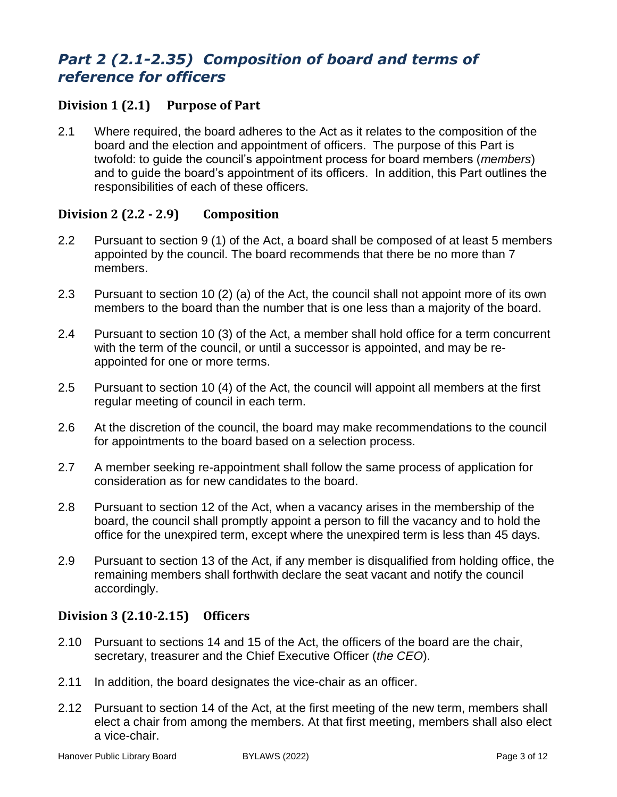# <span id="page-2-0"></span>*Part 2 (2.1-2.35) Composition of board and terms of reference for officers*

## <span id="page-2-1"></span>**Division 1 (2.1) Purpose of Part**

2.1 Where required, the board adheres to the Act as it relates to the composition of the board and the election and appointment of officers. The purpose of this Part is twofold: to guide the council's appointment process for board members (*members*) and to guide the board's appointment of its officers. In addition, this Part outlines the responsibilities of each of these officers.

## <span id="page-2-2"></span>**Division 2 (2.2 - 2.9) Composition**

- 2.2 Pursuant to section 9 (1) of the Act, a board shall be composed of at least 5 members appointed by the council. The board recommends that there be no more than 7 members.
- 2.3 Pursuant to section 10 (2) (a) of the Act, the council shall not appoint more of its own members to the board than the number that is one less than a majority of the board.
- 2.4 Pursuant to section 10 (3) of the Act, a member shall hold office for a term concurrent with the term of the council, or until a successor is appointed, and may be reappointed for one or more terms.
- 2.5 Pursuant to section 10 (4) of the Act, the council will appoint all members at the first regular meeting of council in each term.
- 2.6 At the discretion of the council, the board may make recommendations to the council for appointments to the board based on a selection process.
- 2.7 A member seeking re-appointment shall follow the same process of application for consideration as for new candidates to the board.
- 2.8 Pursuant to section 12 of the Act, when a vacancy arises in the membership of the board, the council shall promptly appoint a person to fill the vacancy and to hold the office for the unexpired term, except where the unexpired term is less than 45 days.
- 2.9 Pursuant to section 13 of the Act, if any member is disqualified from holding office, the remaining members shall forthwith declare the seat vacant and notify the council accordingly.

## <span id="page-2-3"></span>**Division 3 (2.10-2.15) Officers**

- 2.10 Pursuant to sections 14 and 15 of the Act, the officers of the board are the chair, secretary, treasurer and the Chief Executive Officer (*the CEO*).
- 2.11 In addition, the board designates the vice-chair as an officer.
- 2.12 Pursuant to section 14 of the Act, at the first meeting of the new term, members shall elect a chair from among the members. At that first meeting, members shall also elect a vice-chair.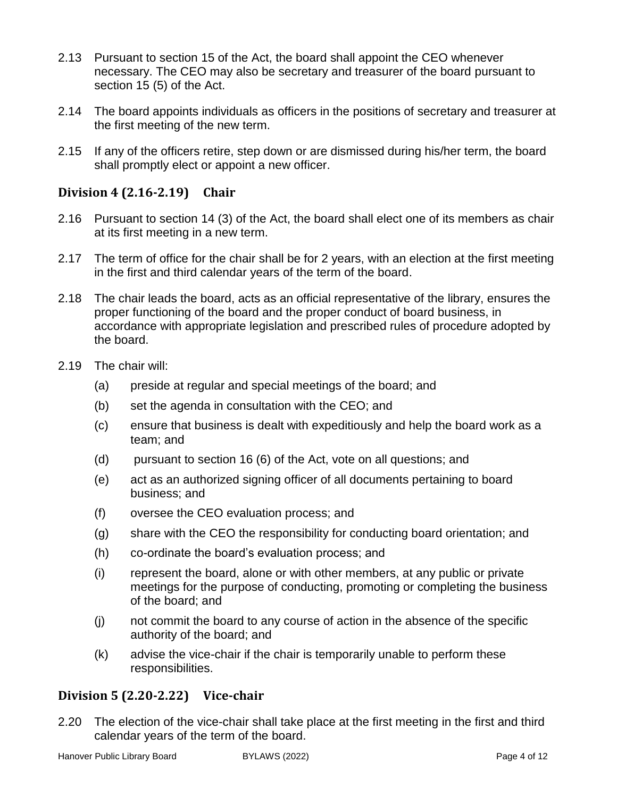- 2.13 Pursuant to section 15 of the Act, the board shall appoint the CEO whenever necessary. The CEO may also be secretary and treasurer of the board pursuant to section 15 (5) of the Act.
- 2.14 The board appoints individuals as officers in the positions of secretary and treasurer at the first meeting of the new term.
- 2.15 If any of the officers retire, step down or are dismissed during his/her term, the board shall promptly elect or appoint a new officer.

## <span id="page-3-0"></span>**Division 4 (2.16-2.19) Chair**

- 2.16 Pursuant to section 14 (3) of the Act, the board shall elect one of its members as chair at its first meeting in a new term.
- 2.17 The term of office for the chair shall be for 2 years, with an election at the first meeting in the first and third calendar years of the term of the board.
- 2.18 The chair leads the board, acts as an official representative of the library, ensures the proper functioning of the board and the proper conduct of board business, in accordance with appropriate legislation and prescribed rules of procedure adopted by the board.
- 2.19 The chair will:
	- (a) preside at regular and special meetings of the board; and
	- (b) set the agenda in consultation with the CEO; and
	- (c) ensure that business is dealt with expeditiously and help the board work as a team; and
	- (d) pursuant to section 16 (6) of the Act, vote on all questions; and
	- (e) act as an authorized signing officer of all documents pertaining to board business; and
	- (f) oversee the CEO evaluation process; and
	- (g) share with the CEO the responsibility for conducting board orientation; and
	- (h) co-ordinate the board's evaluation process; and
	- (i) represent the board, alone or with other members, at any public or private meetings for the purpose of conducting, promoting or completing the business of the board; and
	- (j) not commit the board to any course of action in the absence of the specific authority of the board; and
	- (k) advise the vice-chair if the chair is temporarily unable to perform these responsibilities.

## <span id="page-3-1"></span>**Division 5 (2.20-2.22) Vice-chair**

2.20 The election of the vice-chair shall take place at the first meeting in the first and third calendar years of the term of the board.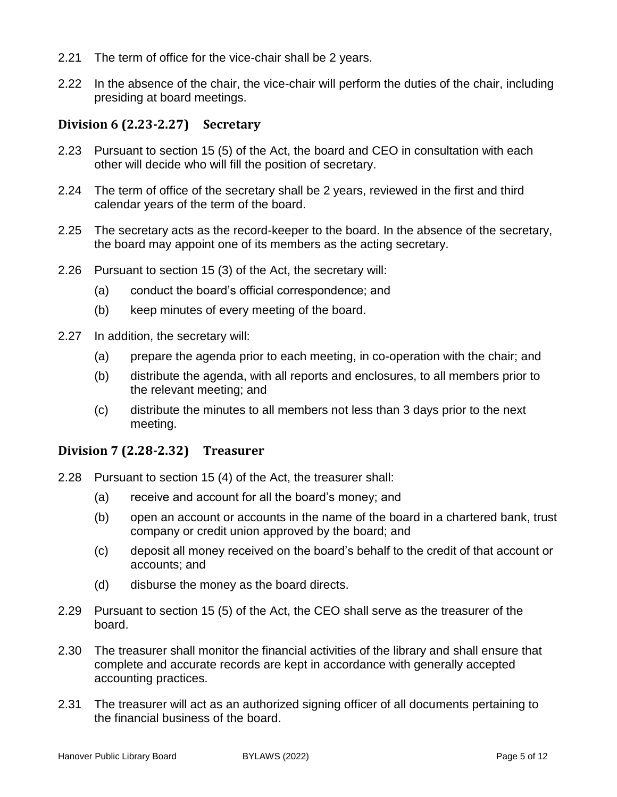- 2.21 The term of office for the vice-chair shall be 2 years.
- 2.22 In the absence of the chair, the vice-chair will perform the duties of the chair, including presiding at board meetings.

## <span id="page-4-0"></span>**Division 6 (2.23-2.27) Secretary**

- 2.23 Pursuant to section 15 (5) of the Act, the board and CEO in consultation with each other will decide who will fill the position of secretary.
- 2.24 The term of office of the secretary shall be 2 years, reviewed in the first and third calendar years of the term of the board.
- 2.25 The secretary acts as the record-keeper to the board. In the absence of the secretary, the board may appoint one of its members as the acting secretary.
- 2.26 Pursuant to section 15 (3) of the Act, the secretary will:
	- (a) conduct the board's official correspondence; and
	- (b) keep minutes of every meeting of the board.
- 2.27 In addition, the secretary will:
	- (a) prepare the agenda prior to each meeting, in co-operation with the chair; and
	- (b) distribute the agenda, with all reports and enclosures, to all members prior to the relevant meeting; and
	- (c) distribute the minutes to all members not less than 3 days prior to the next meeting.

## <span id="page-4-1"></span>**Division 7 (2.28-2.32) Treasurer**

- 2.28 Pursuant to section 15 (4) of the Act, the treasurer shall:
	- (a) receive and account for all the board's money; and
	- (b) open an account or accounts in the name of the board in a chartered bank, trust company or credit union approved by the board; and
	- (c) deposit all money received on the board's behalf to the credit of that account or accounts; and
	- (d) disburse the money as the board directs.
- 2.29 Pursuant to section 15 (5) of the Act, the CEO shall serve as the treasurer of the board.
- 2.30 The treasurer shall monitor the financial activities of the library and shall ensure that complete and accurate records are kept in accordance with generally accepted accounting practices.
- 2.31 The treasurer will act as an authorized signing officer of all documents pertaining to the financial business of the board.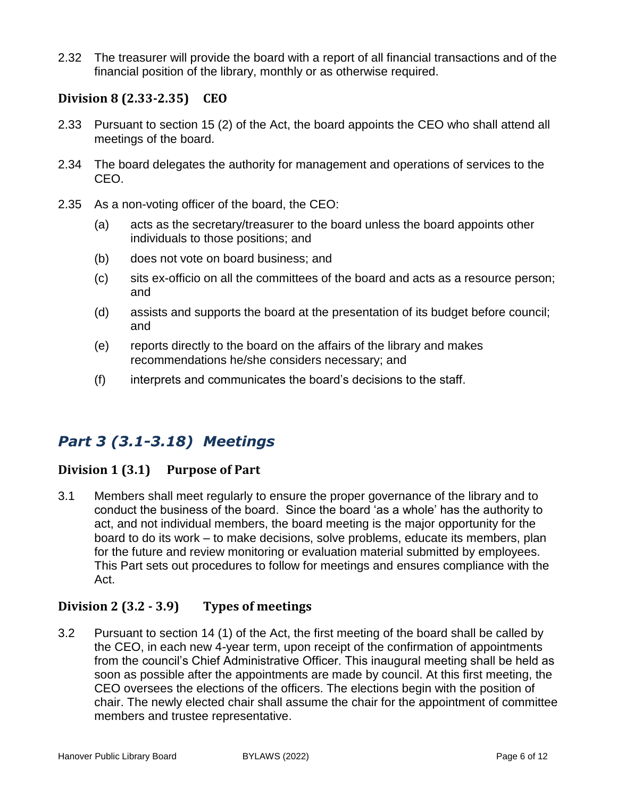2.32 The treasurer will provide the board with a report of all financial transactions and of the financial position of the library, monthly or as otherwise required.

## <span id="page-5-0"></span>**Division 8 (2.33-2.35) CEO**

- 2.33 Pursuant to section 15 (2) of the Act, the board appoints the CEO who shall attend all meetings of the board.
- 2.34 The board delegates the authority for management and operations of services to the CEO.
- 2.35 As a non-voting officer of the board, the CEO:
	- (a) acts as the secretary/treasurer to the board unless the board appoints other individuals to those positions; and
	- (b) does not vote on board business; and
	- (c) sits ex-officio on all the committees of the board and acts as a resource person; and
	- (d) assists and supports the board at the presentation of its budget before council; and
	- (e) reports directly to the board on the affairs of the library and makes recommendations he/she considers necessary; and
	- (f) interprets and communicates the board's decisions to the staff.

# <span id="page-5-1"></span>*Part 3 (3.1-3.18) Meetings*

# <span id="page-5-2"></span>**Division 1 (3.1) Purpose of Part**

3.1 Members shall meet regularly to ensure the proper governance of the library and to conduct the business of the board. Since the board 'as a whole' has the authority to act, and not individual members, the board meeting is the major opportunity for the board to do its work – to make decisions, solve problems, educate its members, plan for the future and review monitoring or evaluation material submitted by employees. This Part sets out procedures to follow for meetings and ensures compliance with the Act.

# <span id="page-5-3"></span>**Division 2 (3.2 - 3.9) Types of meetings**

3.2 Pursuant to section 14 (1) of the Act, the first meeting of the board shall be called by the CEO, in each new 4-year term, upon receipt of the confirmation of appointments from the council's Chief Administrative Officer. This inaugural meeting shall be held as soon as possible after the appointments are made by council. At this first meeting, the CEO oversees the elections of the officers. The elections begin with the position of chair. The newly elected chair shall assume the chair for the appointment of committee members and trustee representative.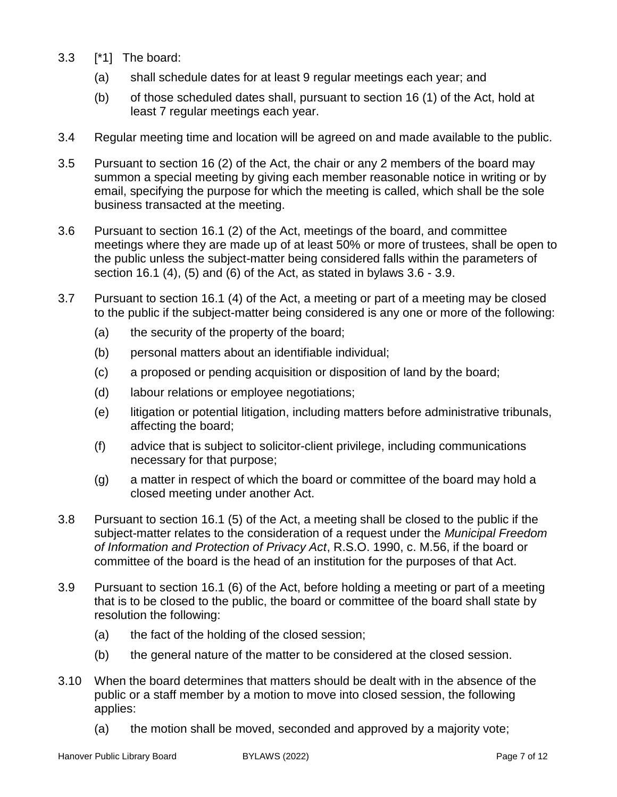- 3.3 [\*1] The board:
	- (a) shall schedule dates for at least 9 regular meetings each year; and
	- (b) of those scheduled dates shall, pursuant to section 16 (1) of the Act, hold at least 7 regular meetings each year.
- 3.4 Regular meeting time and location will be agreed on and made available to the public.
- 3.5 Pursuant to section 16 (2) of the Act, the chair or any 2 members of the board may summon a special meeting by giving each member reasonable notice in writing or by email, specifying the purpose for which the meeting is called, which shall be the sole business transacted at the meeting.
- 3.6 Pursuant to section 16.1 (2) of the Act, meetings of the board, and committee meetings where they are made up of at least 50% or more of trustees, shall be open to the public unless the subject-matter being considered falls within the parameters of section 16.1 (4), (5) and (6) of the Act, as stated in bylaws 3.6 - 3.9.
- 3.7 Pursuant to section 16.1 (4) of the Act, a meeting or part of a meeting may be closed to the public if the subject-matter being considered is any one or more of the following:
	- (a) the security of the property of the board;
	- (b) personal matters about an identifiable individual;
	- (c) a proposed or pending acquisition or disposition of land by the board;
	- (d) labour relations or employee negotiations;
	- (e) litigation or potential litigation, including matters before administrative tribunals, affecting the board;
	- (f) advice that is subject to solicitor-client privilege, including communications necessary for that purpose;
	- (g) a matter in respect of which the board or committee of the board may hold a closed meeting under another Act.
- 3.8 Pursuant to section 16.1 (5) of the Act, a meeting shall be closed to the public if the subject-matter relates to the consideration of a request under the *Municipal Freedom of Information and Protection of Privacy Act*, R.S.O. 1990, c. M.56, if the board or committee of the board is the head of an institution for the purposes of that Act.
- 3.9 Pursuant to section 16.1 (6) of the Act, before holding a meeting or part of a meeting that is to be closed to the public, the board or committee of the board shall state by resolution the following:
	- (a) the fact of the holding of the closed session;
	- (b) the general nature of the matter to be considered at the closed session.
- 3.10 When the board determines that matters should be dealt with in the absence of the public or a staff member by a motion to move into closed session, the following applies:
	- (a) the motion shall be moved, seconded and approved by a majority vote;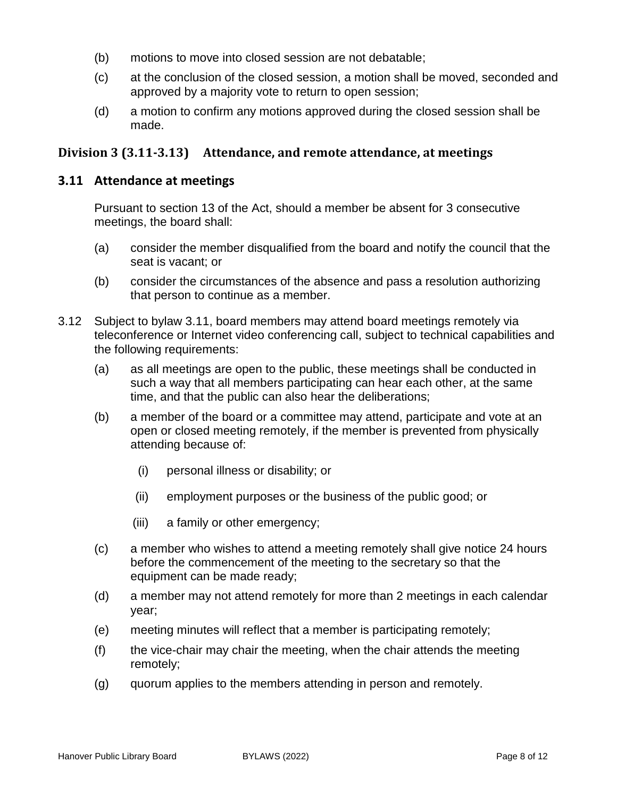- (b) motions to move into closed session are not debatable;
- (c) at the conclusion of the closed session, a motion shall be moved, seconded and approved by a majority vote to return to open session;
- (d) a motion to confirm any motions approved during the closed session shall be made.

## <span id="page-7-0"></span>**Division 3 (3.11-3.13) Attendance, and remote attendance, at meetings**

#### **3.11 Attendance at meetings**

Pursuant to section 13 of the Act, should a member be absent for 3 consecutive meetings, the board shall:

- (a) consider the member disqualified from the board and notify the council that the seat is vacant; or
- (b) consider the circumstances of the absence and pass a resolution authorizing that person to continue as a member.
- 3.12 Subject to bylaw 3.11, board members may attend board meetings remotely via teleconference or Internet video conferencing call, subject to technical capabilities and the following requirements:
	- (a) as all meetings are open to the public, these meetings shall be conducted in such a way that all members participating can hear each other, at the same time, and that the public can also hear the deliberations;
	- (b) a member of the board or a committee may attend, participate and vote at an open or closed meeting remotely, if the member is prevented from physically attending because of:
		- (i) personal illness or disability; or
		- (ii) employment purposes or the business of the public good; or
		- (iii) a family or other emergency;
	- (c) a member who wishes to attend a meeting remotely shall give notice 24 hours before the commencement of the meeting to the secretary so that the equipment can be made ready;
	- (d) a member may not attend remotely for more than 2 meetings in each calendar year;
	- (e) meeting minutes will reflect that a member is participating remotely;
	- (f) the vice-chair may chair the meeting, when the chair attends the meeting remotely;
	- (g) quorum applies to the members attending in person and remotely.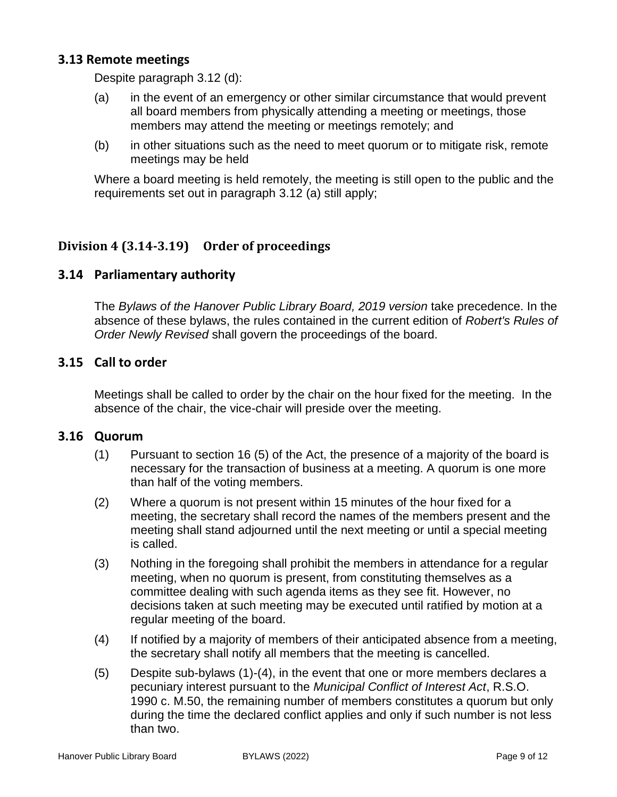## **3.13 Remote meetings**

Despite paragraph 3.12 (d):

- (a) in the event of an emergency or other similar circumstance that would prevent all board members from physically attending a meeting or meetings, those members may attend the meeting or meetings remotely; and
- (b) in other situations such as the need to meet quorum or to mitigate risk, remote meetings may be held

Where a board meeting is held remotely, the meeting is still open to the public and the requirements set out in paragraph 3.12 (a) still apply;

# <span id="page-8-0"></span>**Division 4 (3.14-3.19) Order of proceedings**

## **3.14 Parliamentary authority**

The *Bylaws of the Hanover Public Library Board, 2019 version* take precedence. In the absence of these bylaws, the rules contained in the current edition of *Robert's Rules of Order Newly Revised* shall govern the proceedings of the board.

#### **3.15 Call to order**

Meetings shall be called to order by the chair on the hour fixed for the meeting. In the absence of the chair, the vice-chair will preside over the meeting.

## **3.16 Quorum**

- (1) Pursuant to section 16 (5) of the Act, the presence of a majority of the board is necessary for the transaction of business at a meeting. A quorum is one more than half of the voting members.
- (2) Where a quorum is not present within 15 minutes of the hour fixed for a meeting, the secretary shall record the names of the members present and the meeting shall stand adjourned until the next meeting or until a special meeting is called.
- (3) Nothing in the foregoing shall prohibit the members in attendance for a regular meeting, when no quorum is present, from constituting themselves as a committee dealing with such agenda items as they see fit. However, no decisions taken at such meeting may be executed until ratified by motion at a regular meeting of the board.
- (4) If notified by a majority of members of their anticipated absence from a meeting, the secretary shall notify all members that the meeting is cancelled.
- (5) Despite sub-bylaws (1)-(4), in the event that one or more members declares a pecuniary interest pursuant to the *Municipal Conflict of Interest Act*, R.S.O. 1990 c. M.50, the remaining number of members constitutes a quorum but only during the time the declared conflict applies and only if such number is not less than two.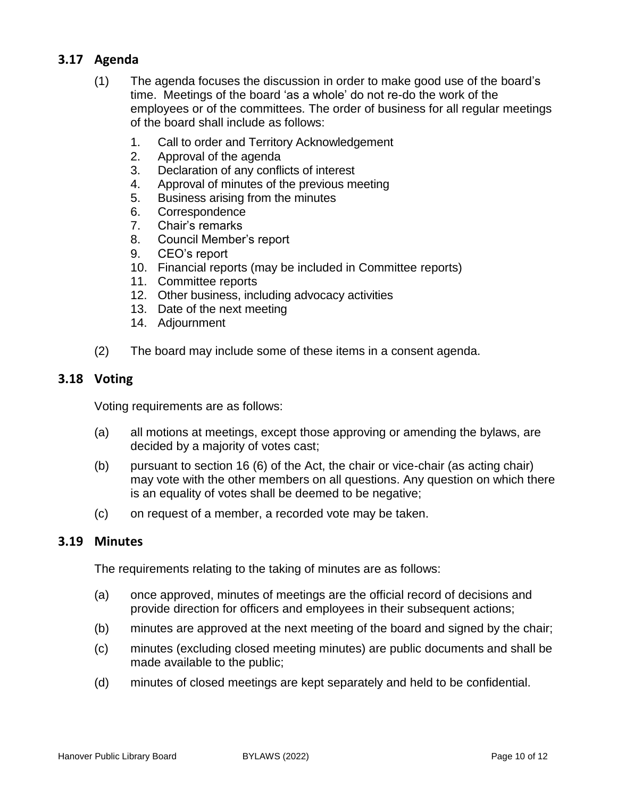# **3.17 Agenda**

- (1) The agenda focuses the discussion in order to make good use of the board's time. Meetings of the board 'as a whole' do not re-do the work of the employees or of the committees. The order of business for all regular meetings of the board shall include as follows:
	- 1. Call to order and Territory Acknowledgement
	- 2. Approval of the agenda
	- 3. Declaration of any conflicts of interest
	- 4. Approval of minutes of the previous meeting
	- 5. Business arising from the minutes
	- 6. Correspondence
	- 7. Chair's remarks
	- 8. Council Member's report
	- 9. CEO's report
	- 10. Financial reports (may be included in Committee reports)
	- 11. Committee reports
	- 12. Other business, including advocacy activities
	- 13. Date of the next meeting
	- 14. Adjournment
- (2) The board may include some of these items in a consent agenda.

#### **3.18 Voting**

Voting requirements are as follows:

- (a) all motions at meetings, except those approving or amending the bylaws, are decided by a majority of votes cast;
- (b) pursuant to section 16 (6) of the Act, the chair or vice-chair (as acting chair) may vote with the other members on all questions. Any question on which there is an equality of votes shall be deemed to be negative;
- (c) on request of a member, a recorded vote may be taken.

#### **3.19 Minutes**

The requirements relating to the taking of minutes are as follows:

- (a) once approved, minutes of meetings are the official record of decisions and provide direction for officers and employees in their subsequent actions;
- (b) minutes are approved at the next meeting of the board and signed by the chair;
- (c) minutes (excluding closed meeting minutes) are public documents and shall be made available to the public;
- (d) minutes of closed meetings are kept separately and held to be confidential.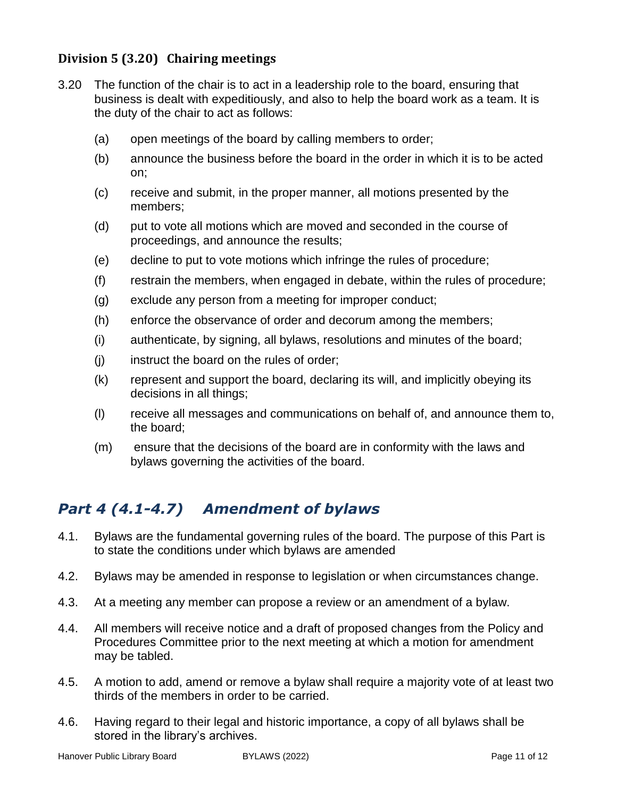# <span id="page-10-0"></span>**Division 5 (3.20) Chairing meetings**

- 3.20 The function of the chair is to act in a leadership role to the board, ensuring that business is dealt with expeditiously, and also to help the board work as a team. It is the duty of the chair to act as follows:
	- (a) open meetings of the board by calling members to order;
	- (b) announce the business before the board in the order in which it is to be acted on;
	- (c) receive and submit, in the proper manner, all motions presented by the members;
	- (d) put to vote all motions which are moved and seconded in the course of proceedings, and announce the results;
	- (e) decline to put to vote motions which infringe the rules of procedure;
	- (f) restrain the members, when engaged in debate, within the rules of procedure;
	- (g) exclude any person from a meeting for improper conduct;
	- (h) enforce the observance of order and decorum among the members;
	- (i) authenticate, by signing, all bylaws, resolutions and minutes of the board;
	- (j) instruct the board on the rules of order;
	- (k) represent and support the board, declaring its will, and implicitly obeying its decisions in all things;
	- (l) receive all messages and communications on behalf of, and announce them to, the board;
	- (m) ensure that the decisions of the board are in conformity with the laws and bylaws governing the activities of the board.

# <span id="page-10-1"></span>*Part 4 (4.1-4.7) Amendment of bylaws*

- 4.1. Bylaws are the fundamental governing rules of the board. The purpose of this Part is to state the conditions under which bylaws are amended
- 4.2. Bylaws may be amended in response to legislation or when circumstances change.
- 4.3. At a meeting any member can propose a review or an amendment of a bylaw.
- 4.4. All members will receive notice and a draft of proposed changes from the Policy and Procedures Committee prior to the next meeting at which a motion for amendment may be tabled.
- 4.5. A motion to add, amend or remove a bylaw shall require a majority vote of at least two thirds of the members in order to be carried.
- 4.6. Having regard to their legal and historic importance, a copy of all bylaws shall be stored in the library's archives.